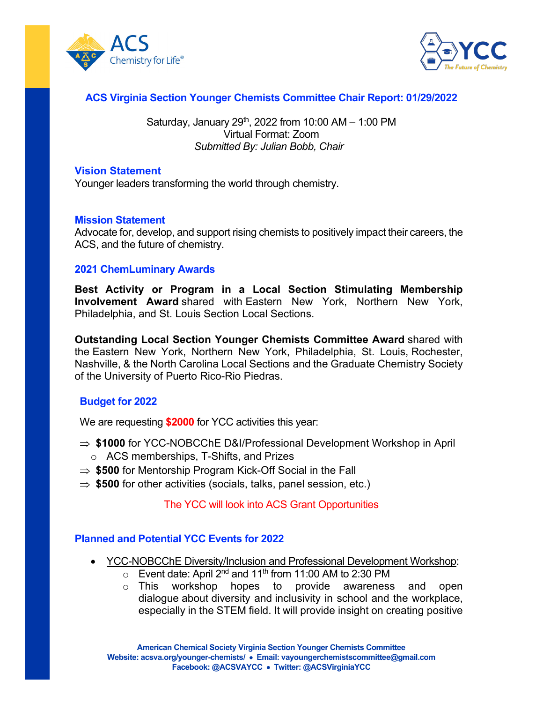



# **ACS Virginia Section Younger Chemists Committee Chair Report: 01/29/2022**

Saturday, January 29<sup>th</sup>, 2022 from 10:00 AM  $-$  1:00 PM Virtual Format: Zoom *Submitted By: Julian Bobb, Chair*

#### **Vision Statement**

Younger leaders transforming the world through chemistry.

#### **Mission Statement**

Advocate for, develop, and support rising chemists to positively impact their careers, the ACS, and the future of chemistry.

#### **2021 ChemLuminary Awards**

**Best Activity or Program in a Local Section Stimulating Membership Involvement Award** shared with Eastern New York, Northern New York, Philadelphia, and St. Louis Section Local Sections.

**Outstanding Local Section Younger Chemists Committee Award** shared with the Eastern New York, Northern New York, Philadelphia, St. Louis, Rochester, Nashville, & the North Carolina Local Sections and the Graduate Chemistry Society of the University of Puerto Rico-Rio Piedras.

#### **Budget for 2022**

We are requesting **\$2000** for YCC activities this year:

- ⇒ **\$1000** for YCC-NOBCChE D&I/Professional Development Workshop in April o ACS memberships, T-Shifts, and Prizes
- ⇒ **\$500** for Mentorship Program Kick-Off Social in the Fall
- ⇒ **\$500** for other activities (socials, talks, panel session, etc.)

#### The YCC will look into ACS Grant Opportunities

### **Planned and Potential YCC Events for 2022**

- YCC-NOBCChE Diversity/Inclusion and Professional Development Workshop:
	- $\circ$  Event date: April 2<sup>nd</sup> and 11<sup>th</sup> from 11:00 AM to 2:30 PM  $\circ$  This workshop hopes to provide awareness
	- provide awareness and open dialogue about diversity and inclusivity in school and the workplace, especially in the STEM field. It will provide insight on creating positive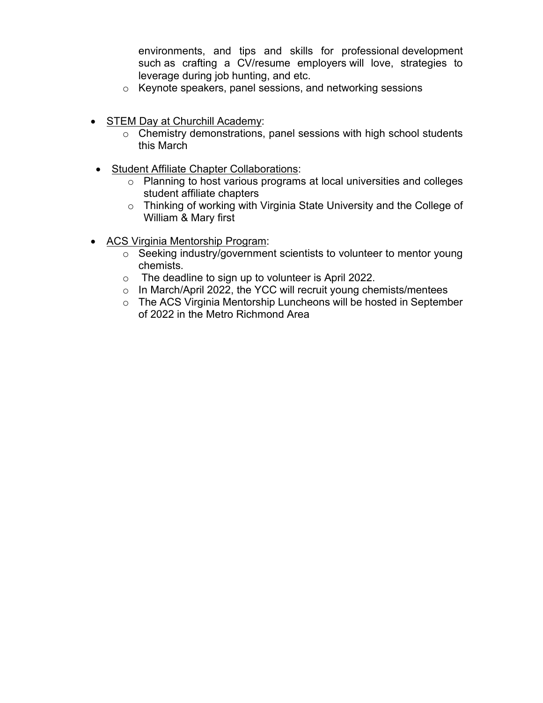environments, and tips and skills for professional development such as crafting a CV/resume employers will love, strategies to leverage during job hunting, and etc.

- o Keynote speakers, panel sessions, and networking sessions
- STEM Day at Churchill Academy:
	- o Chemistry demonstrations, panel sessions with high school students this March
- Student Affiliate Chapter Collaborations:
	- o Planning to host various programs at local universities and colleges student affiliate chapters
	- o Thinking of working with Virginia State University and the College of William & Mary first
- ACS Virginia Mentorship Program:
	- o Seeking industry/government scientists to volunteer to mentor young chemists.
	- o The deadline to sign up to volunteer is April 2022.
	- o In March/April 2022, the YCC will recruit young chemists/mentees
	- o The ACS Virginia Mentorship Luncheons will be hosted in September of 2022 in the Metro Richmond Area